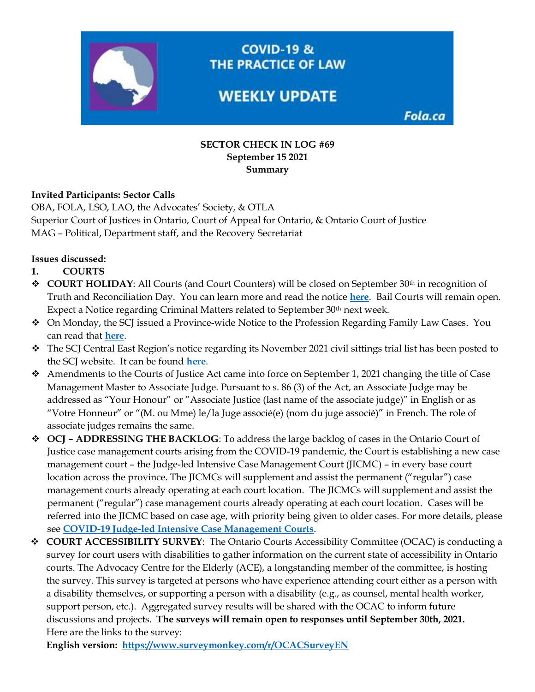

**COVID-19 &** THE PRACTICE OF LAW

# **WEEKLY UPDATE**

Fola.ca

#### **SECTOR CHECK IN LOG #69 September 15 2021 Summary**

#### **Invited Participants: Sector Calls**

OBA, FOLA, LSO, LAO, the Advocates' Society, & OTLA Superior Court of Justices in Ontario, Court of Appeal for Ontario, & Ontario Court of Justice MAG – Political, Department staff, and the Recovery Secretariat

#### **Issues discussed:**

- **1. COURTS**
- **❖ COURT HOLIDAY**: All Courts (and Court Counters) will be closed on September 30<sup>th</sup> in recognition of Truth and Reconciliation Day. You can learn more and read the notice **[here](https://www.ontariocourts.ca/ocj/)**. Bail Courts will remain open. Expect a Notice regarding Criminal Matters related to September 30th next week.
- ❖ On Monday, the SCJ issued a Province-wide Notice to the Profession Regarding Family Law Cases. You can read that **[here](https://www.ontariocourts.ca/scj/notices-and-orders-covid-19/notice-family-law-cases/)**.
- $\div$  The SCJ Central East Region's notice regarding its November 2021 civil sittings trial list has been posted to the SCJ website. It can be found **[here](https://www.ontariocourts.ca/scj/notices-and-orders-covid-19/ce-november-civil-sittings-trial-list/)**.
- ❖ Amendments to the Courts of Justice Act came into force on September 1, 2021 changing the title of Case Management Master to Associate Judge. Pursuant to s. 86 (3) of the Act, an Associate Judge may be addressed as "Your Honour" or "Associate Justice (last name of the associate judge)" in English or as "Votre Honneur" or "(M. ou Mme) le/la Juge associé(e) (nom du juge associé)" in French. The role of associate judges remains the same.
- ❖ **OCJ – ADDRESSING THE BACKLOG**: To address the large backlog of cases in the Ontario Court of Justice case management courts arising from the COVID-19 pandemic, the Court is establishing a new case management court – the Judge-led Intensive Case Management Court (JICMC) – in every base court location across the province. The JICMCs will supplement and assist the permanent ("regular") case management courts already operating at each court location. The JICMCs will supplement and assist the permanent ("regular") case management courts already operating at each court location. Cases will be referred into the JICMC based on case age, with priority being given to older cases. For more details, please see **[COVID-19 Judge-led Intensive Case Management Courts](https://www.ontariocourts.ca/ocj/covid-19/notices-and-info-re-criminal/covid-19-judge-led-intensive-case-management-courts/)**.
- ❖ **COURT ACCESSIBILITY SURVEY**: The Ontario Courts Accessibility Committee (OCAC) is conducting a survey for court users with disabilities to gather information on the current state of accessibility in Ontario courts. The Advocacy Centre for the Elderly (ACE), a longstanding member of the committee, is hosting the survey. This survey is targeted at persons who have experience attending court either as a person with a disability themselves, or supporting a person with a disability (e.g., as counsel, mental health worker, support person, etc.). Aggregated survey results will be shared with the OCAC to inform future discussions and projects. **The surveys will remain open to responses until September 30th, 2021.** Here are the links to the survey:

**English version: <https://www.surveymonkey.com/r/OCACSurveyEN>**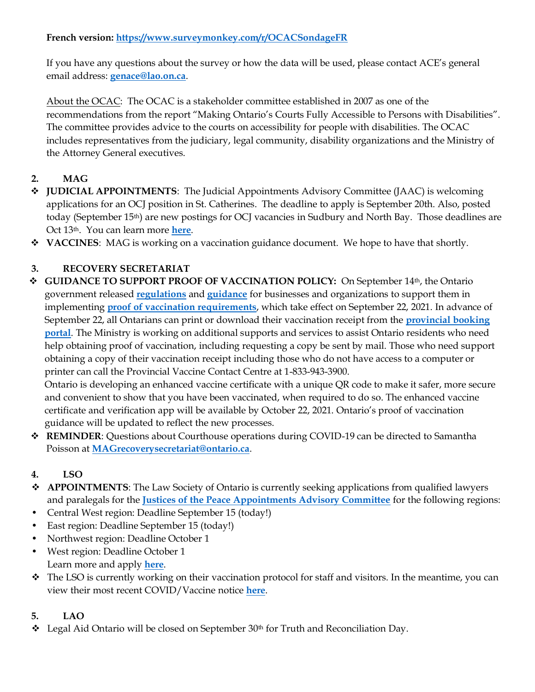#### **French version[: https://www.surveymonkey.com/r/OCACSondageFR](https://www.surveymonkey.com/r/OCACSondageFR)**

If you have any questions about the survey or how the data will be used, please contact ACE's general email address: **[genace@lao.on.ca](mailto:genace@lao.on.ca)**.

About the OCAC: The OCAC is a stakeholder committee established in 2007 as one of the recommendations from the report "Making Ontario's Courts Fully Accessible to Persons with Disabilities". The committee provides advice to the courts on accessibility for people with disabilities. The OCAC includes representatives from the judiciary, legal community, disability organizations and the Ministry of the Attorney General executives.

# **2. MAG**

- ❖ **JUDICIAL APPOINTMENTS**: The Judicial Appointments Advisory Committee (JAAC) is welcoming applications for an OCJ position in St. Catherines. The deadline to apply is September 20th. Also, posted today (September 15th) are new postings for OCJ vacancies in Sudbury and North Bay. Those deadlines are Oct 13<sup>th</sup>. You can learn more **[here](https://fola.ca/mag#1b502794-1349-48c2-a718-cdb8bed8eabb)**.
- ❖ **VACCINES**: MAG is working on a vaccination guidance document. We hope to have that shortly.

# **3. RECOVERY SECRETARIAT**

❖ **GUIDANCE TO SUPPORT PROOF OF VACCINATION POLICY:** On September 14th, the Ontario government released **[regulations](https://www.ontario.ca/laws/regulation/r21645?utm_medium=email&utm_campaign=%2Fen%2Frelease%2F1000807%2Fontario-releasing-guidance-to-support-proof-of-vaccination-policy&utm_term=public&utm_source=newsroom)** and **[guidance](https://www.health.gov.on.ca/en/pro/programs/publichealth/coronavirus/docs/guidance_proof_of_vaccination_for_businesses_and_organizations.pdf?utm_source=newsroom&utm_medium=email&utm_campaign=%2Fen%2Frelease%2F1000807%2Fontario-releasing-guidance-to-support-proof-of-vaccination-policy&utm_term=public)** for businesses and organizations to support them in implementing **[proof of vaccination requirements](https://news.ontario.ca/en/release/1000779/ontario-to-require-proof-of-vaccination-in-select-settings?utm_source=newsroom&utm_medium=email&utm_campaign=%2Fen%2Frelease%2F1000807%2Fontario-releasing-guidance-to-support-proof-of-vaccination-policy&utm_term=public)**, which take effect on September 22, 2021. In advance of September 22, all Ontarians can print or download their vaccination receipt from the **[provincial booking](https://covid-19.ontario.ca/covid-19-vaccine-booking-support?utm_campaign=%2Fen%2Frelease%2F1000807%2Fontario-releasing-guidance-to-support-proof-of-vaccination-policy&utm_term=public&utm_source=newsroom&utm_medium=email#proof-of-vaccination)  [portal](https://covid-19.ontario.ca/covid-19-vaccine-booking-support?utm_campaign=%2Fen%2Frelease%2F1000807%2Fontario-releasing-guidance-to-support-proof-of-vaccination-policy&utm_term=public&utm_source=newsroom&utm_medium=email#proof-of-vaccination)**. The Ministry is working on additional supports and services to assist Ontario residents who need help obtaining proof of vaccination, including requesting a copy be sent by mail. Those who need support obtaining a copy of their vaccination receipt including those who do not have access to a computer or printer can call the Provincial Vaccine Contact Centre at 1-833-943-3900.

Ontario is developing an enhanced vaccine certificate with a unique QR code to make it safer, more secure and convenient to show that you have been vaccinated, when required to do so. The enhanced vaccine certificate and verification app will be available by October 22, 2021. Ontario's proof of vaccination guidance will be updated to reflect the new processes.

❖ **REMINDER**: Questions about Courthouse operations during COVID-19 can be directed to Samantha Poisson at **[MAGrecoverysecretariat@ontario.ca](mailto:MAGrecoverysecretariat@ontario.ca)**.

# **4. LSO**

- ❖ **APPOINTMENTS**: The Law Society of Ontario is currently seeking applications from qualified lawyers and paralegals for the **[Justices of the Peace Appointments Advisory Committee](https://www.pas.gov.on.ca/Home/Agency/449)** for the following regions:
- Central West region: Deadline September 15 (today!)
- East region: Deadline September 15 (today!)
- Northwest region: Deadline October 1
- West region: Deadline October 1 Learn more and apply **[here](https://fola.ca/jobs)**.
- ❖ The LSO is currently working on their vaccination protocol for staff and visitors. In the meantime, you can view their most recent COVID/Vaccine notice **[here](https://lso.ca/covid-19-response/corporate-statements)**.

# **5. LAO**

 $\bullet$  Legal Aid Ontario will be closed on September 30<sup>th</sup> for Truth and Reconciliation Day.